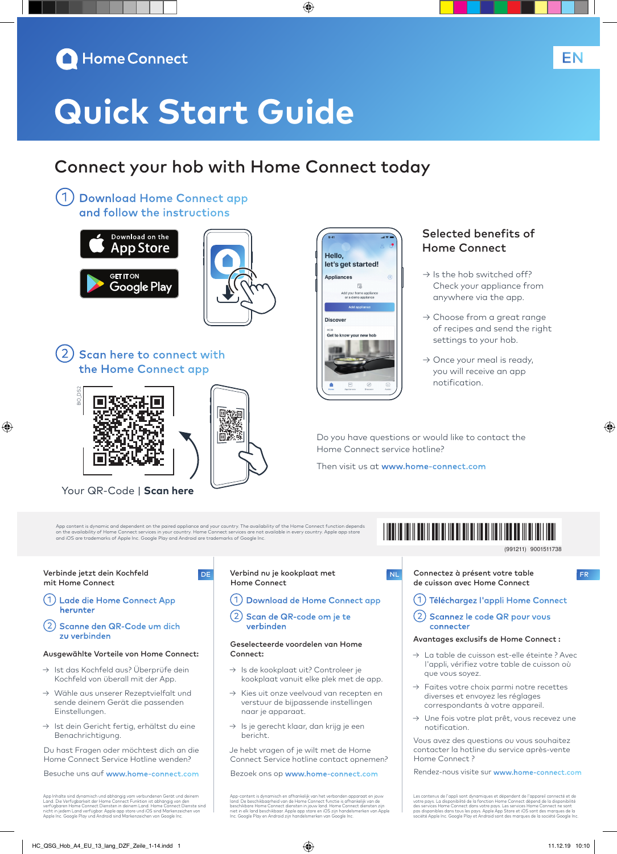

# **Quick Start Guide**

### Connect your hob with Home Connect today

◈

Hello.

**Appliances** 

**Discover** 

let's get started!

Get to know your new hob

 $\overline{6}$ home appl<br>mo annliar

①Download Home Connect app and follow the instructions





2) Scan here to connect with the Home Connect app



Your QR-Code | **Scan here**

App content is dynamic and dependent on the paired appliance and your country. The availability of the Home Connect function depends<br>on the availability of Home Connect services in your country. Home Connect services are n

۱m

Verbinde jetzt dein Kochfeld mit Home Connect

⊕

- ①Lade die Home Connect App herunter
- ②Scanne den QR-Code um dich zu verbinden

#### Ausgewählte Vorteile von Home Connect:

- → Ist das Kochfeld aus? Überprüfe dein Kochfeld von überall mit der App.
- → Wähle aus unserer Rezeptvielfalt und sende deinem Gerät die passenden Einstellungen.
- → Ist dein Gericht fertig, erhältst du eine Benachrichtigung.

Du hast Fragen oder möchtest dich an die Home Connect Service Hotline wenden?

Besuche uns auf www.home-connect.com

App Inhalte sind dynamisch und abhängig vom verbundenen Gerät und deinem<br>Land. Die Verfügbarkeit der Home Connect Funktion ist abhängig von den<br>verfügbaren Home Connect Diensten in deinem Land. Home Connect Dienste sind<br>ni

#### Verbind nu je kookplaat met Home Connect DE Verbind nu je kookplaat met **Inland van De Land van De Verbind van De Verbind van De Verbind van De Verbind**

- ①Download de Home Connect app
- ②Scan de QR-code om je te verbinden

#### Geselecteerde voordelen van Home Connect:

- → Is de kookplaat uit? Controleer je kookplaat vanuit elke plek met de app.
- → Kies uit onze veelvoud van recepten en verstuur de bijpassende instellingen naar je apparaat.
- → Is je gerecht klaar, dan krijg je een bericht.

Je hebt vragen of je wilt met de Home Connect Service hotline contact opnemen?

Bezoek ons op www.home-connect.com

App-content is dynamisch en afhankelijk van het verbonden apparaat en jouw<br>land. De beschikbaarheid van de Home Connect functie is afhankelijk van de<br>beschikbare Home Connect diensten in jouw land. Home Connect diensten zi

#### Selected benefits of Home Connect

EN

- $\rightarrow$  Is the hob switched off? Check your appliance from anywhere via the app.
- $\rightarrow$  Choose from a great range of recipes and send the right settings to your hob.
- $\rightarrow$  Once your meal is ready, you will receive an app notification.

Do you have questions or would like to contact the Home Connect service hotline?

Then visit us at www.home-connect.com

## \*9001511738\*

9001511738 (991211)

◈

- de cuisson avec Home Connect
- ①Téléchargez l'appli Home Connect
- ②Scannez le code QR pour vous connecter

#### Avantages exclusifs de Home Connect :

- → La table de cuisson est-elle éteinte ? Avec l'appli, vérifiez votre table de cuisson où que vous soyez.
- $\rightarrow$  Faites votre choix parmi notre recettes diverses et envoyez les réglages correspondants à votre appareil.
- → Une fois votre plat prêt, vous recevez une notification.

Vous avez des questions ou vous souhaitez contacter la hotline du service après-vente Home Connect ?

Rendez-nous visite sur www.home-connect.com

Les contenus de l'appli sont dynamiques et dépendent de l'appareil connecté et de<br>votre pays. La disponibilité de la fonction Home Connect dépend de la disponibilité<br>des services Home Connect dans votre pays. Les services